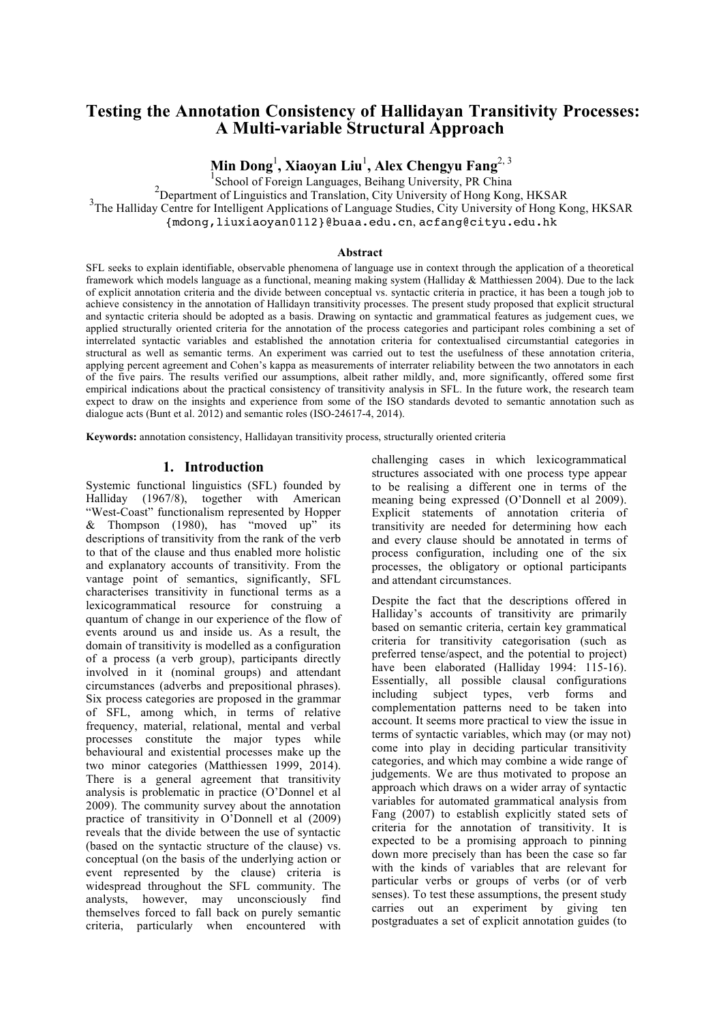# **Testing the Annotation Consistency of Hallidayan Transitivity Processes: A Multi-variable Structural Approach**

**Min Dong**<sup>1</sup> **, Xiaoyan Liu**<sup>1</sup> **, Alex Chengyu Fang**2, <sup>3</sup>

<sup>1</sup><br>
<sup>1</sup> School of Foreign Languages, Beihang University, PR China<br>
<sup>2</sup> Department of Linewidian or 4 Translation City University of Using Keep

<sup>2</sup>Department of Linguistics and Translation, City University of Hong Kong, HKSAR

<sup>3</sup>The Halliday Centre for Intelligent Applications of Language Studies, City University of Hong Kong, HKSAR

{mdong,liuxiaoyan0112}@buaa.edu.cn, acfang@cityu.edu.hk

#### **Abstract**

SFL seeks to explain identifiable, observable phenomena of language use in context through the application of a theoretical framework which models language as a functional, meaning making system (Halliday & Matthiessen 2004). Due to the lack of explicit annotation criteria and the divide between conceptual vs. syntactic criteria in practice, it has been a tough job to achieve consistency in the annotation of Hallidayn transitivity processes. The present study proposed that explicit structural and syntactic criteria should be adopted as a basis. Drawing on syntactic and grammatical features as judgement cues, we applied structurally oriented criteria for the annotation of the process categories and participant roles combining a set of interrelated syntactic variables and established the annotation criteria for contextualised circumstantial categories in structural as well as semantic terms. An experiment was carried out to test the usefulness of these annotation criteria, applying percent agreement and Cohen's kappa as measurements of interrater reliability between the two annotators in each of the five pairs. The results verified our assumptions, albeit rather mildly, and, more significantly, offered some first empirical indications about the practical consistency of transitivity analysis in SFL. In the future work, the research team expect to draw on the insights and experience from some of the ISO standards devoted to semantic annotation such as dialogue acts (Bunt et al. 2012) and semantic roles (ISO-24617-4, 2014).

**Keywords:** annotation consistency, Hallidayan transitivity process, structurally oriented criteria

#### **1. Introduction**

Systemic functional linguistics (SFL) founded by Halliday (1967/8), together with American "West-Coast" functionalism represented by Hopper & Thompson (1980), has "moved up" its descriptions of transitivity from the rank of the verb to that of the clause and thus enabled more holistic and explanatory accounts of transitivity. From the vantage point of semantics, significantly, SFL characterises transitivity in functional terms as a lexicogrammatical resource for construing a quantum of change in our experience of the flow of events around us and inside us. As a result, the domain of transitivity is modelled as a configuration of a process (a verb group), participants directly involved in it (nominal groups) and attendant circumstances (adverbs and prepositional phrases). Six process categories are proposed in the grammar of SFL, among which, in terms of relative frequency, material, relational, mental and verbal processes constitute the major types while behavioural and existential processes make up the two minor categories (Matthiessen 1999, 2014). There is a general agreement that transitivity analysis is problematic in practice (O'Donnel et al 2009). The community survey about the annotation practice of transitivity in O'Donnell et al (2009) reveals that the divide between the use of syntactic (based on the syntactic structure of the clause) vs. conceptual (on the basis of the underlying action or event represented by the clause) criteria is widespread throughout the SFL community. The analysts, however, may unconsciously find themselves forced to fall back on purely semantic criteria, particularly when encountered with

challenging cases in which lexicogrammatical structures associated with one process type appear to be realising a different one in terms of the meaning being expressed (O'Donnell et al 2009). Explicit statements of annotation criteria of transitivity are needed for determining how each and every clause should be annotated in terms of process configuration, including one of the six processes, the obligatory or optional participants and attendant circumstances.

Despite the fact that the descriptions offered in Halliday's accounts of transitivity are primarily based on semantic criteria, certain key grammatical criteria for transitivity categorisation (such as preferred tense/aspect, and the potential to project) have been elaborated (Halliday 1994: 115-16). Essentially, all possible clausal configurations including subject types, verb forms and complementation patterns need to be taken into account. It seems more practical to view the issue in terms of syntactic variables, which may (or may not) come into play in deciding particular transitivity categories, and which may combine a wide range of judgements. We are thus motivated to propose an approach which draws on a wider array of syntactic variables for automated grammatical analysis from Fang (2007) to establish explicitly stated sets of criteria for the annotation of transitivity. It is expected to be a promising approach to pinning down more precisely than has been the case so far with the kinds of variables that are relevant for particular verbs or groups of verbs (or of verb senses). To test these assumptions, the present study carries out an experiment by giving ten postgraduates a set of explicit annotation guides (to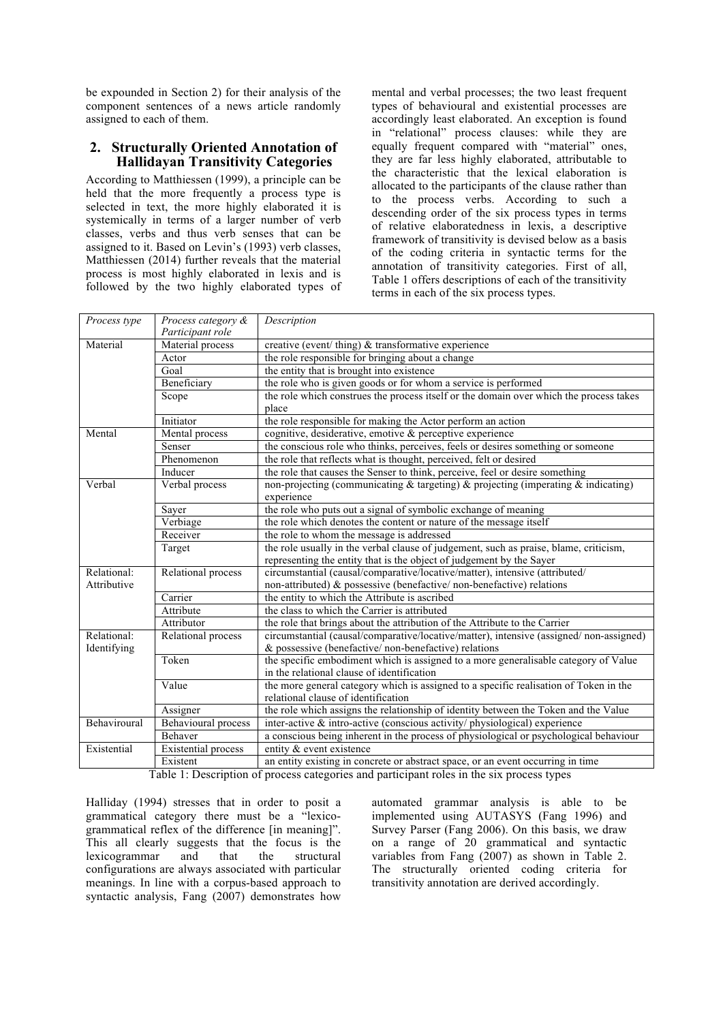be expounded in Section 2) for their analysis of the component sentences of a news article randomly assigned to each of them.

#### **2. Structurally Oriented Annotation of Hallidayan Transitivity Categories**

According to Matthiessen (1999), a principle can be held that the more frequently a process type is selected in text, the more highly elaborated it is systemically in terms of a larger number of verb classes, verbs and thus verb senses that can be assigned to it. Based on Levin's (1993) verb classes, Matthiessen (2014) further reveals that the material process is most highly elaborated in lexis and is followed by the two highly elaborated types of mental and verbal processes; the two least frequent types of behavioural and existential processes are accordingly least elaborated. An exception is found in "relational" process clauses: while they are equally frequent compared with "material" ones, they are far less highly elaborated, attributable to the characteristic that the lexical elaboration is allocated to the participants of the clause rather than to the process verbs. According to such a descending order of the six process types in terms of relative elaboratedness in lexis, a descriptive framework of transitivity is devised below as a basis of the coding criteria in syntactic terms for the annotation of transitivity categories. First of all, Table 1 offers descriptions of each of the transitivity terms in each of the six process types.

| Process type | Process category &<br>Participant role | Description                                                                                                                  |
|--------------|----------------------------------------|------------------------------------------------------------------------------------------------------------------------------|
| Material     | Material process                       | creative (event/thing) $\&$ transformative experience                                                                        |
|              | Actor                                  | the role responsible for bringing about a change                                                                             |
|              | Goal                                   | the entity that is brought into existence                                                                                    |
|              | Beneficiary                            | the role who is given goods or for whom a service is performed                                                               |
|              | Scope                                  | the role which construes the process itself or the domain over which the process takes                                       |
|              |                                        | place                                                                                                                        |
|              | Initiator                              | the role responsible for making the Actor perform an action                                                                  |
| Mental       | Mental process                         | cognitive, desiderative, emotive & perceptive experience                                                                     |
|              | Senser                                 | the conscious role who thinks, perceives, feels or desires something or someone                                              |
|              | Phenomenon                             | the role that reflects what is thought, perceived, felt or desired                                                           |
|              | Inducer                                | the role that causes the Senser to think, perceive, feel or desire something                                                 |
| Verbal       | Verbal process                         | non-projecting (communicating $\&$ targeting) $\&$ projecting (imperating $\&$ indicating)<br>experience                     |
|              | Sayer                                  | the role who puts out a signal of symbolic exchange of meaning                                                               |
|              | Verbiage                               | the role which denotes the content or nature of the message itself                                                           |
|              | Receiver                               | the role to whom the message is addressed                                                                                    |
|              | Target                                 | the role usually in the verbal clause of judgement, such as praise, blame, criticism,                                        |
|              |                                        | representing the entity that is the object of judgement by the Sayer                                                         |
| Relational:  | Relational process                     | circumstantial (causal/comparative/locative/matter), intensive (attributed/                                                  |
| Attributive  |                                        | non-attributed) & possessive (benefactive/non-benefactive) relations                                                         |
|              | Carrier                                | the entity to which the Attribute is ascribed                                                                                |
|              | Attribute                              | the class to which the Carrier is attributed                                                                                 |
|              | Attributor                             | the role that brings about the attribution of the Attribute to the Carrier                                                   |
| Relational:  | Relational process                     | circumstantial (causal/comparative/locative/matter), intensive (assigned/non-assigned)                                       |
| Identifying  |                                        | $\&$ possessive (benefactive/non-benefactive) relations                                                                      |
|              | Token                                  | the specific embodiment which is assigned to a more generalisable category of Value                                          |
|              |                                        | in the relational clause of identification                                                                                   |
|              | Value                                  | the more general category which is assigned to a specific realisation of Token in the<br>relational clause of identification |
|              | Assigner                               | the role which assigns the relationship of identity between the Token and the Value                                          |
| Behaviroural | <b>Behavioural</b> process             | inter-active $\&$ intro-active (conscious activity/physiological) experience                                                 |
|              | Behaver                                | a conscious being inherent in the process of physiological or psychological behaviour                                        |
| Existential  | Existential process                    | entity & event existence                                                                                                     |
|              | Existent                               | an entity existing in concrete or abstract space, or an event occurring in time                                              |

Table 1: Description of process categories and participant roles in the six process types

Halliday (1994) stresses that in order to posit a grammatical category there must be a "lexicogrammatical reflex of the difference [in meaning]". This all clearly suggests that the focus is the lexicogrammar and that the structural configurations are always associated with particular meanings. In line with a corpus-based approach to syntactic analysis, Fang (2007) demonstrates how

automated grammar analysis is able to be implemented using AUTASYS (Fang 1996) and Survey Parser (Fang 2006). On this basis, we draw on a range of 20 grammatical and syntactic variables from Fang (2007) as shown in Table 2. The structurally oriented coding criteria for transitivity annotation are derived accordingly.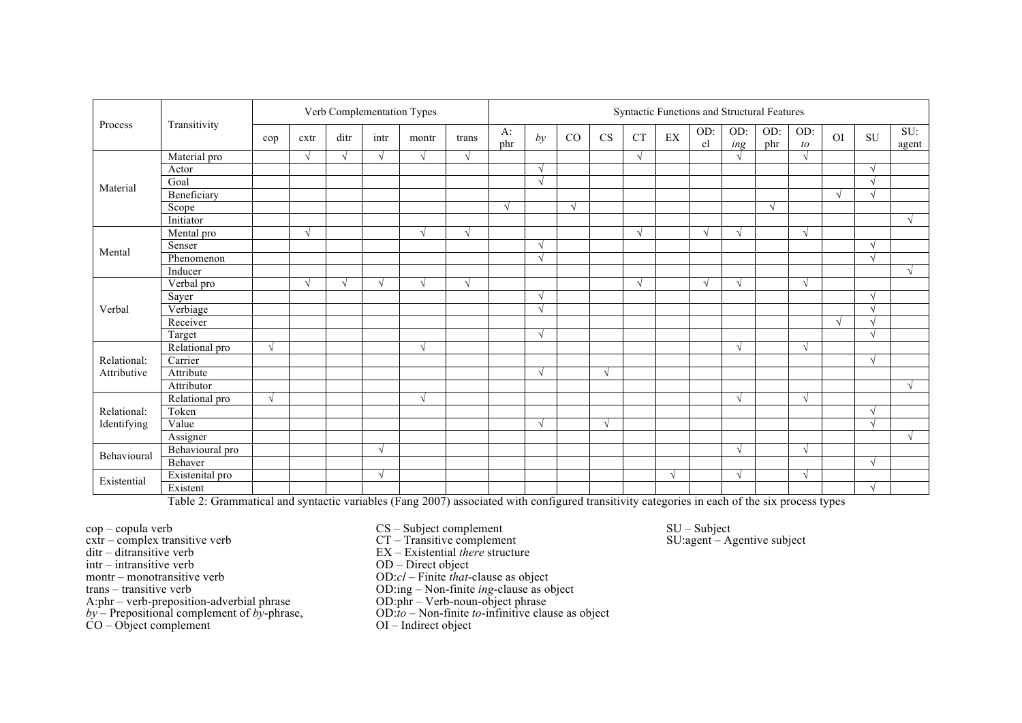| Process<br>Material<br>Mental<br>Verbal<br>Relational:<br>Attributive<br>Relational: | Transitivity    | Verb Complementation Types |            |            |            | Syntactic Functions and Structural Features |            |            |            |            |            |            |                            |            |               |            |            |            |            |              |
|--------------------------------------------------------------------------------------|-----------------|----------------------------|------------|------------|------------|---------------------------------------------|------------|------------|------------|------------|------------|------------|----------------------------|------------|---------------|------------|------------|------------|------------|--------------|
|                                                                                      |                 | cop                        | cxtr       | ditr       | intr       | montr                                       | trans      | A:<br>phr  | by         | CO         | CS         | <b>CT</b>  | $\mathop{\rm EX}\nolimits$ | OD:<br>cl  | OD:<br>ing    | OD:<br>phr | OD:<br>to  | OI         | SU         | SU:<br>agent |
|                                                                                      | Material pro    |                            | $\sqrt{ }$ | $\sqrt{ }$ | V          | $\sqrt{ }$                                  | $\sqrt{ }$ |            |            |            |            | $\sqrt{ }$ |                            |            | $\lambda$     |            | $\sqrt{ }$ |            |            |              |
|                                                                                      | Actor           |                            |            |            |            |                                             |            |            | $\sqrt{ }$ |            |            |            |                            |            |               |            |            |            | $\sqrt{ }$ |              |
|                                                                                      | Goal            |                            |            |            |            |                                             |            |            | $\sqrt{ }$ |            |            |            |                            |            |               |            |            |            | $\sqrt{ }$ |              |
|                                                                                      | Beneficiary     |                            |            |            |            |                                             |            |            |            |            |            |            |                            |            |               |            |            | $\sqrt{ }$ | $\Delta$   |              |
|                                                                                      | Scope           |                            |            |            |            |                                             |            | $\sqrt{ }$ |            | $\sqrt{ }$ |            |            |                            |            |               | V          |            |            |            |              |
|                                                                                      | Initiator       |                            |            |            |            |                                             |            |            |            |            |            |            |                            |            |               |            |            |            |            | N            |
|                                                                                      | Mental pro      |                            | $\sqrt{ }$ |            |            | $\sqrt{ }$                                  | $\sqrt{ }$ |            |            |            |            | $\sqrt{ }$ |                            | $\sqrt{ }$ | $\sim$        |            | $\sqrt{ }$ |            |            |              |
|                                                                                      | Senser          |                            |            |            |            |                                             |            |            | $\sqrt{ }$ |            |            |            |                            |            |               |            |            |            | $\sqrt{ }$ |              |
|                                                                                      | Phenomenon      |                            |            |            |            |                                             |            |            | $\sqrt{ }$ |            |            |            |                            |            |               |            |            |            | $\sqrt{ }$ |              |
|                                                                                      | Inducer         |                            |            |            |            |                                             |            |            |            |            |            |            |                            |            |               |            |            |            |            | $\sqrt{ }$   |
|                                                                                      | Verbal pro      |                            | $\sqrt{2}$ | $\sqrt{ }$ |            | $\sqrt{ }$                                  | $\sqrt{ }$ |            |            |            |            | $\sqrt{ }$ |                            | $\Delta$   | $\mathcal{L}$ |            | $\sqrt{ }$ |            |            |              |
|                                                                                      | Sayer           |                            |            |            |            |                                             |            |            | $\sqrt{ }$ |            |            |            |                            |            |               |            |            |            | $\sqrt{ }$ |              |
|                                                                                      | Verbiage        |                            |            |            |            |                                             |            |            | $\sqrt{ }$ |            |            |            |                            |            |               |            |            |            | $\sqrt{ }$ |              |
|                                                                                      | Receiver        |                            |            |            |            |                                             |            |            |            |            |            |            |                            |            |               |            |            | $\sqrt{ }$ |            |              |
|                                                                                      | Target          |                            |            |            |            |                                             |            |            | $\sqrt{ }$ |            |            |            |                            |            |               |            |            |            | $\sqrt{ }$ |              |
|                                                                                      | Relational pro  | $\sqrt{ }$                 |            |            |            | $\sqrt{ }$                                  |            |            |            |            |            |            |                            |            | N             |            | $\sqrt{ }$ |            |            |              |
|                                                                                      | Carrier         |                            |            |            |            |                                             |            |            |            |            |            |            |                            |            |               |            |            |            | $\sqrt{ }$ |              |
|                                                                                      | Attribute       |                            |            |            |            |                                             |            |            | $\sqrt{ }$ |            | $\sqrt{ }$ |            |                            |            |               |            |            |            |            |              |
|                                                                                      | Attributor      |                            |            |            |            |                                             |            |            |            |            |            |            |                            |            |               |            |            |            |            | √            |
|                                                                                      | Relational pro  | $\sqrt{ }$                 |            |            |            | $\sqrt{ }$                                  |            |            |            |            |            |            |                            |            | $\sqrt{ }$    |            | $\sqrt{ }$ |            |            |              |
|                                                                                      | Token           |                            |            |            |            |                                             |            |            |            |            |            |            |                            |            |               |            |            |            | $\sqrt{ }$ |              |
| Identifying                                                                          | Value           |                            |            |            |            |                                             |            |            | $\sqrt{ }$ |            | $\sqrt{ }$ |            |                            |            |               |            |            |            | $\sqrt{ }$ |              |
|                                                                                      | Assigner        |                            |            |            |            |                                             |            |            |            |            |            |            |                            |            |               |            |            |            |            | $\sqrt{ }$   |
| Behavioural                                                                          | Behavioural pro |                            |            |            | $\sqrt{ }$ |                                             |            |            |            |            |            |            |                            |            | $\sqrt{ }$    |            | $\sqrt{ }$ |            |            |              |
|                                                                                      | Behaver         |                            |            |            |            |                                             |            |            |            |            |            |            |                            |            |               |            |            |            | $\sqrt{ }$ |              |
| Existential                                                                          | Existenital pro |                            |            |            |            |                                             |            |            |            |            |            |            |                            |            | $\sim$        |            | $\sqrt{ }$ |            |            |              |
|                                                                                      | Existent        |                            |            |            |            |                                             |            |            |            |            |            |            |                            |            |               |            |            |            | $\sqrt{ }$ |              |

Table 2: Grammatical and syntactic variables (Fang 2007) associated with configured transitivity categories in each of the six process types

cop – copula verb

- cxtr complex transitive verb
- ditr ditransitive verb
- intr intransitive verb
- montr monotransitive verb
- trans transitive verb
- A:phr verb-preposition-adverbial phrase
- *by* Prepositional complement of *by*-phrase,
- $CO Object complement$
- CS Subject complement
- CT Transitive complement EX – Existential *there* structure
- OD Direct object
- 
- OD:*cl* Finite *that*-clause as object
- OD:ing Non-finite *ing*-clause as object
- OD:phr Verb-noun-object phrase
- OD:*to* Non-finite *to*-infinitive clause as object
- OI Indirect object

SU – Subject SU:agent – Agentive subject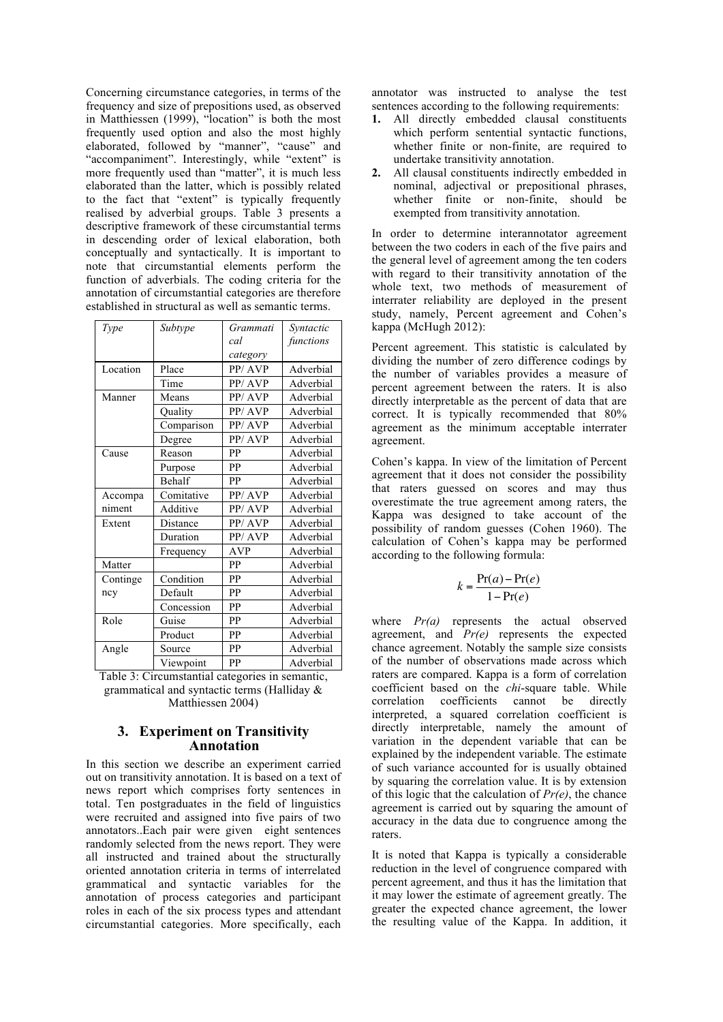Concerning circumstance categories, in terms of the frequency and size of prepositions used, as observed in Matthiessen (1999), "location" is both the most frequently used option and also the most highly elaborated, followed by "manner", "cause" and "accompaniment". Interestingly, while "extent" is more frequently used than "matter", it is much less elaborated than the latter, which is possibly related to the fact that "extent" is typically frequently realised by adverbial groups. Table 3 presents a descriptive framework of these circumstantial terms in descending order of lexical elaboration, both conceptually and syntactically. It is important to note that circumstantial elements perform the function of adverbials. The coding criteria for the annotation of circumstantial categories are therefore established in structural as well as semantic terms.

| Type     | Subtype       | Grammati   | Syntactic |
|----------|---------------|------------|-----------|
|          |               | cal        | functions |
|          |               | category   |           |
| Location | Place         | PP/AVP     | Adverbial |
|          | Time          | PP/AVP     | Adverbial |
| Manner   | Means         | PP/AVP     | Adverbial |
|          | Quality       | PP/AVP     | Adverbial |
|          | Comparison    | PP/AVP     | Adverbial |
|          | Degree        | PP/AVP     | Adverbial |
| Cause    | Reason        | PP         | Adverbial |
|          | Purpose       | PP         | Adverbial |
|          | <b>Behalf</b> | PP         | Adverbial |
| Accompa  | Comitative    | PP/AVP     | Adverbial |
| niment   | Additive      | PP/AVP     | Adverbial |
| Extent   | Distance      | PP/AVP     | Adverbial |
|          | Duration      | PP/AVP     | Adverbial |
|          | Frequency     | <b>AVP</b> | Adverbial |
| Matter   |               | PP         | Adverbial |
| Continge | Condition     | PР         | Adverbial |
| ncy      | Default       | PP         | Adverbial |
|          | Concession    | PP         | Adverbial |
| Role     | Guise         | PP         | Adverbial |
|          | Product       | PP         | Adverbial |
| Angle    | Source        | PP         | Adverbial |
|          | Viewpoint     | PP         | Adverbial |

Table 3: Circumstantial categories in semantic, grammatical and syntactic terms (Halliday & Matthiessen 2004)

#### **3. Experiment on Transitivity Annotation**

In this section we describe an experiment carried out on transitivity annotation. It is based on a text of news report which comprises forty sentences in total. Ten postgraduates in the field of linguistics were recruited and assigned into five pairs of two annotators..Each pair were given eight sentences randomly selected from the news report. They were all instructed and trained about the structurally oriented annotation criteria in terms of interrelated grammatical and syntactic variables for the annotation of process categories and participant roles in each of the six process types and attendant circumstantial categories. More specifically, each

annotator was instructed to analyse the test sentences according to the following requirements:

- **1.** All directly embedded clausal constituents which perform sentential syntactic functions, whether finite or non-finite, are required to undertake transitivity annotation.
- **2.** All clausal constituents indirectly embedded in nominal, adjectival or prepositional phrases, whether finite or non-finite, should be exempted from transitivity annotation.

In order to determine interannotator agreement between the two coders in each of the five pairs and the general level of agreement among the ten coders with regard to their transitivity annotation of the whole text, two methods of measurement of interrater reliability are deployed in the present study, namely, Percent agreement and Cohen's kappa (McHugh 2012):

Percent agreement. This statistic is calculated by dividing the number of zero difference codings by the number of variables provides a measure of percent agreement between the raters. It is also directly interpretable as the percent of data that are correct. It is typically recommended that 80% agreement as the minimum acceptable interrater agreement.

Cohen's kappa. In view of the limitation of Percent agreement that it does not consider the possibility that raters guessed on scores and may thus overestimate the true agreement among raters, the Kappa was designed to take account of the possibility of random guesses (Cohen 1960). The calculation of Cohen's kappa may be performed according to the following formula:

$$
k = \frac{\Pr(a) - \Pr(e)}{1 - \Pr(e)}
$$

where *Pr(a)* represents the actual observed agreement, and *Pr(e)* represents the expected chance agreement. Notably the sample size consists of the number of observations made across which raters are compared. Kappa is a form of correlation coefficient based on the *chi*-square table. While correlation coefficients cannot be directly interpreted, a squared correlation coefficient is directly interpretable, namely the amount of variation in the dependent variable that can be explained by the independent variable. The estimate of such variance accounted for is usually obtained by squaring the correlation value. It is by extension of this logic that the calculation of *Pr(e)*, the chance agreement is carried out by squaring the amount of accuracy in the data due to congruence among the raters.

It is noted that Kappa is typically a considerable reduction in the level of congruence compared with percent agreement, and thus it has the limitation that it may lower the estimate of agreement greatly. The greater the expected chance agreement, the lower the resulting value of the Kappa. In addition, it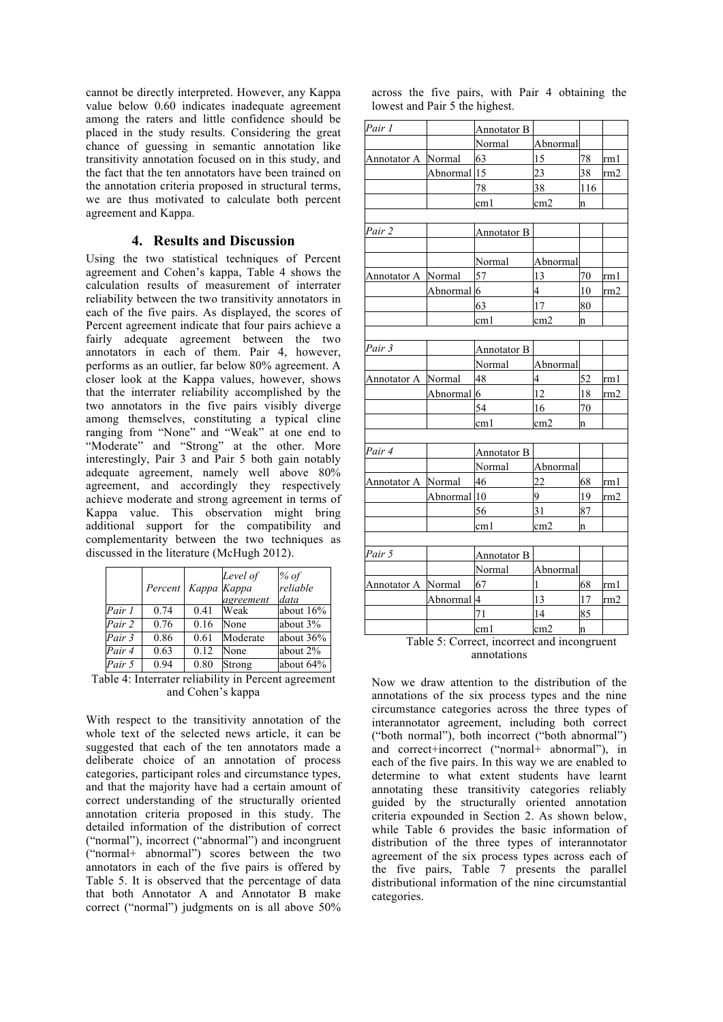cannot be directly interpreted. However, any Kappa value below 0.60 indicates inadequate agreement among the raters and little confidence should be placed in the study results. Considering the great chance of guessing in semantic annotation like transitivity annotation focused on in this study, and the fact that the ten annotators have been trained on the annotation criteria proposed in structural terms, we are thus motivated to calculate both percent agreement and Kappa.

### **4. Results and Discussion**

Using the two statistical techniques of Percent agreement and Cohen's kappa, Table 4 shows the calculation results of measurement of interrater reliability between the two transitivity annotators in each of the five pairs. As displayed, the scores of Percent agreement indicate that four pairs achieve a fairly adequate agreement between the two annotators in each of them. Pair 4, however, performs as an outlier, far below 80% agreement. A closer look at the Kappa values, however, shows that the interrater reliability accomplished by the two annotators in the five pairs visibly diverge among themselves, constituting a typical cline ranging from "None" and "Weak" at one end to "Moderate" and "Strong" at the other. More interestingly, Pair 3 and Pair 5 both gain notably adequate agreement, namely well above 80% agreement, and accordingly they respectively achieve moderate and strong agreement in terms of Kappa value. This observation might bring additional support for the compatibility and complementarity between the two techniques as discussed in the literature (McHugh 2012).

|        | Percent | Kappa Kappa | Level of<br>agreement | % of<br>reliable<br>data |
|--------|---------|-------------|-----------------------|--------------------------|
| Pair 1 | 0.74    | 0.41        | Weak                  | about 16%                |
| Pair 2 | 0.76    | 0.16        | None                  | about 3%                 |
| Pair 3 | 0.86    | 0.61        | Moderate              | about $36%$              |
| Pair 4 | 0.63    | 0.12        | None                  | about 2%                 |
| Pair 5 | 0.94    | 0.80        | Strong                | about 64%                |

Table 4: Interrater reliability in Percent agreement and Cohen's kappa

With respect to the transitivity annotation of the whole text of the selected news article, it can be suggested that each of the ten annotators made a deliberate choice of an annotation of process categories, participant roles and circumstance types, and that the majority have had a certain amount of correct understanding of the structurally oriented annotation criteria proposed in this study. The detailed information of the distribution of correct ("normal"), incorrect ("abnormal") and incongruent ("normal+ abnormal") scores between the two annotators in each of the five pairs is offered by Table 5. It is observed that the percentage of data that both Annotator A and Annotator B make correct ("normal") judgments on is all above 50%

|                                |  |  |  | across the five pairs, with Pair 4 obtaining the |  |
|--------------------------------|--|--|--|--------------------------------------------------|--|
| lowest and Pair 5 the highest. |  |  |  |                                                  |  |

| Pair 1             |                        | Annotator B        |                 |     |                 |
|--------------------|------------------------|--------------------|-----------------|-----|-----------------|
|                    |                        | Normal             | Abnormal        |     |                 |
| Annotator A Normal |                        | 63                 | 15              | 78  | rm 1            |
|                    | Abnormal <sub>15</sub> |                    | 23              | 38  | rm2             |
|                    |                        | 78                 | 38              | 116 |                 |
|                    |                        | cm 1               | cm <sub>2</sub> | n   |                 |
|                    |                        |                    |                 |     |                 |
| Pair <sub>2</sub>  |                        | <b>Annotator B</b> |                 |     |                 |
|                    |                        |                    |                 |     |                 |
|                    |                        | Normal             | Abnormal        |     |                 |
| Annotator A Normal |                        | 57                 | 13              | 70  | rm1             |
|                    | Abnormal 6             |                    | 4               | 10  | rm2             |
|                    |                        | 63                 | 17              | 80  |                 |
|                    |                        | cm 1               | cm <sub>2</sub> | n   |                 |
|                    |                        |                    |                 |     |                 |
| Pair 3             |                        | Annotator B        |                 |     |                 |
|                    |                        | Normal             | Abnormal        |     |                 |
| Annotator A        | Normal                 | 48                 | 4               | 52  | rm 1            |
|                    | Abnormal 6             |                    | 12              | 18  | rm2             |
|                    |                        | 54                 | 16              | 70  |                 |
|                    |                        | cm1                | cm <sub>2</sub> | 'n  |                 |
|                    |                        |                    |                 |     |                 |
| Pair 4             |                        | Annotator B        |                 |     |                 |
|                    |                        | Normal             | Abnormal        |     |                 |
| Annotator A Normal |                        | 46                 | 22              | 68  | rm 1            |
|                    | Abnormal <sub>10</sub> |                    | 9               | 19  | rm2             |
|                    |                        | 56                 | 31              | 87  |                 |
|                    |                        | cm 1               | cm <sub>2</sub> | n   |                 |
|                    |                        |                    |                 |     |                 |
| Pair 5             |                        | <b>Annotator B</b> |                 |     |                 |
|                    |                        | Normal             | Abnormal        |     |                 |
| Annotator A Normal |                        | 67                 | $\mathbf{1}$    | 68  | rm 1            |
|                    | Abnormal 4             |                    | 13              | 17  | rm <sub>2</sub> |
|                    |                        | 71                 | 14              | 85  |                 |
|                    |                        | cm l               | cm <sub>2</sub> | n   |                 |

Table 5: Correct, incorrect and incongruent annotations

Now we draw attention to the distribution of the annotations of the six process types and the nine circumstance categories across the three types of interannotator agreement, including both correct ("both normal"), both incorrect ("both abnormal") and correct+incorrect ("normal+ abnormal"), in each of the five pairs. In this way we are enabled to determine to what extent students have learnt annotating these transitivity categories reliably guided by the structurally oriented annotation criteria expounded in Section 2. As shown below, while Table 6 provides the basic information of distribution of the three types of interannotator agreement of the six process types across each of the five pairs, Table 7 presents the parallel distributional information of the nine circumstantial categories.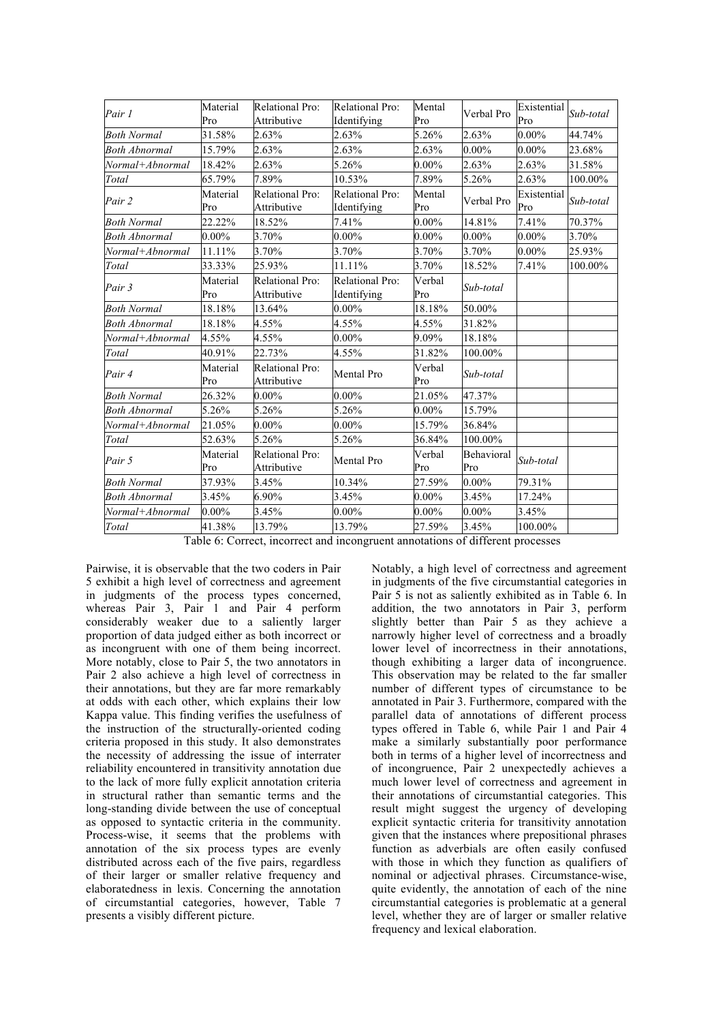| Pair 1               | Material<br>Pro | Relational Pro:<br>Attributive        | Relational Pro:<br>Identifying        | Mental<br>Pro | Verbal Pro        | Existential<br>Pro | Sub-total |
|----------------------|-----------------|---------------------------------------|---------------------------------------|---------------|-------------------|--------------------|-----------|
| <b>Both Normal</b>   | 31.58%          | 2.63%                                 | 2.63%                                 | 5.26%         | 2.63%             | $0.00\%$           | 44.74%    |
| <b>Both Abnormal</b> | 15.79%          | 2.63%                                 | 2.63%                                 | 2.63%         | $0.00\%$          | $0.00\%$           | 23.68%    |
| Normal+Abnormal      | 18.42%          | 2.63%                                 | 5.26%                                 | $0.00\%$      | 2.63%             | 2.63%              | 31.58%    |
| Total                | 65.79%          | 7.89%                                 | 10.53%                                | 7.89%         | 5.26%             | 2.63%              | 100.00%   |
| Pair 2               | Material<br>Pro | Relational Pro:<br>Attributive        | Relational Pro:<br>Identifying        | Mental<br>Pro | Verbal Pro        | Existential<br>Pro | Sub-total |
| <b>Both Normal</b>   | 22.22%          | 18.52%                                | 7.41%                                 | $0.00\%$      | 14.81%            | 7.41%              | 70.37%    |
| <b>Both Abnormal</b> | $0.00\%$        | 3.70%                                 | $0.00\%$                              | $0.00\%$      | $0.00\%$          | $0.00\%$           | 3.70%     |
| Normal+Abnormal      | 11.11%          | 3.70%                                 | 3.70%                                 | 3.70%         | 3.70%             | $0.00\%$           | 25.93%    |
| Total                | 33.33%          | 25.93%                                | 11.11%                                | 3.70%         | 18.52%            | 7.41%              | 100.00%   |
| Pair 3               | Material<br>Pro | Relational Pro:<br>Attributive        | <b>Relational Pro:</b><br>Identifying | Verbal<br>Pro | Sub-total         |                    |           |
| Both Normal          | 18.18%          | 13.64%                                | $0.00\%$                              | 18.18%        | 50.00%            |                    |           |
| <b>Both Abnormal</b> | 18.18%          | 4.55%                                 | 4.55%                                 | 4.55%         | 31.82%            |                    |           |
| Normal+Abnormal      | 4.55%           | 4.55%                                 | $0.00\%$                              | 9.09%         | 18.18%            |                    |           |
| Total                | 40.91%          | 22.73%                                | 4.55%                                 | 31.82%        | 100.00%           |                    |           |
| Pair 4               | Material<br>Pro | Relational Pro:<br>Attributive        | Mental Pro                            | Verbal<br>Pro | Sub-total         |                    |           |
| <b>Both Normal</b>   | 26.32%          | $0.00\%$                              | $0.00\%$                              | 21.05%        | 47.37%            |                    |           |
| <b>Both Abnormal</b> | 5.26%           | 5.26%                                 | 5.26%                                 | $0.00\%$      | 15.79%            |                    |           |
| Normal+Abnormal      | 21.05%          | $0.00\%$                              | $0.00\%$                              | 15.79%        | 36.84%            |                    |           |
| Total                | 52.63%          | 5.26%                                 | 5.26%                                 | 36.84%        | 100.00%           |                    |           |
| Pair 5               | Material<br>Pro | <b>Relational Pro:</b><br>Attributive | Mental Pro                            | Verbal<br>Pro | Behavioral<br>Pro | Sub-total          |           |
| <b>Both Normal</b>   | 37.93%          | 3.45%                                 | 10.34%                                | 27.59%        | $0.00\%$          | 79.31%             |           |
| <b>Both Abnormal</b> | 3.45%           | 6.90%                                 | 3.45%                                 | $0.00\%$      | 3.45%             | 17.24%             |           |
| Normal+Abnormal      | $0.00\%$        | 3.45%                                 | $0.00\%$                              | $0.00\%$      | $0.00\%$          | 3.45%              |           |
| Total                | 41.38%          | 13.79%                                | 13.79%                                | 27.59%        | 3.45%             | 100.00%            |           |

Table 6: Correct, incorrect and incongruent annotations of different processes

Pairwise, it is observable that the two coders in Pair 5 exhibit a high level of correctness and agreement in judgments of the process types concerned, whereas Pair 3, Pair 1 and Pair 4 perform considerably weaker due to a saliently larger proportion of data judged either as both incorrect or as incongruent with one of them being incorrect. More notably, close to Pair 5, the two annotators in Pair 2 also achieve a high level of correctness in their annotations, but they are far more remarkably at odds with each other, which explains their low Kappa value. This finding verifies the usefulness of the instruction of the structurally-oriented coding criteria proposed in this study. It also demonstrates the necessity of addressing the issue of interrater reliability encountered in transitivity annotation due to the lack of more fully explicit annotation criteria in structural rather than semantic terms and the long-standing divide between the use of conceptual as opposed to syntactic criteria in the community. Process-wise, it seems that the problems with annotation of the six process types are evenly distributed across each of the five pairs, regardless of their larger or smaller relative frequency and elaboratedness in lexis. Concerning the annotation of circumstantial categories, however, Table 7 presents a visibly different picture.

Notably, a high level of correctness and agreement in judgments of the five circumstantial categories in Pair 5 is not as saliently exhibited as in Table 6. In addition, the two annotators in Pair 3, perform slightly better than Pair 5 as they achieve a narrowly higher level of correctness and a broadly lower level of incorrectness in their annotations, though exhibiting a larger data of incongruence. This observation may be related to the far smaller number of different types of circumstance to be annotated in Pair 3. Furthermore, compared with the parallel data of annotations of different process types offered in Table 6, while Pair 1 and Pair 4 make a similarly substantially poor performance both in terms of a higher level of incorrectness and of incongruence, Pair 2 unexpectedly achieves a much lower level of correctness and agreement in their annotations of circumstantial categories. This result might suggest the urgency of developing explicit syntactic criteria for transitivity annotation given that the instances where prepositional phrases function as adverbials are often easily confused with those in which they function as qualifiers of nominal or adjectival phrases. Circumstance-wise, quite evidently, the annotation of each of the nine circumstantial categories is problematic at a general level, whether they are of larger or smaller relative frequency and lexical elaboration.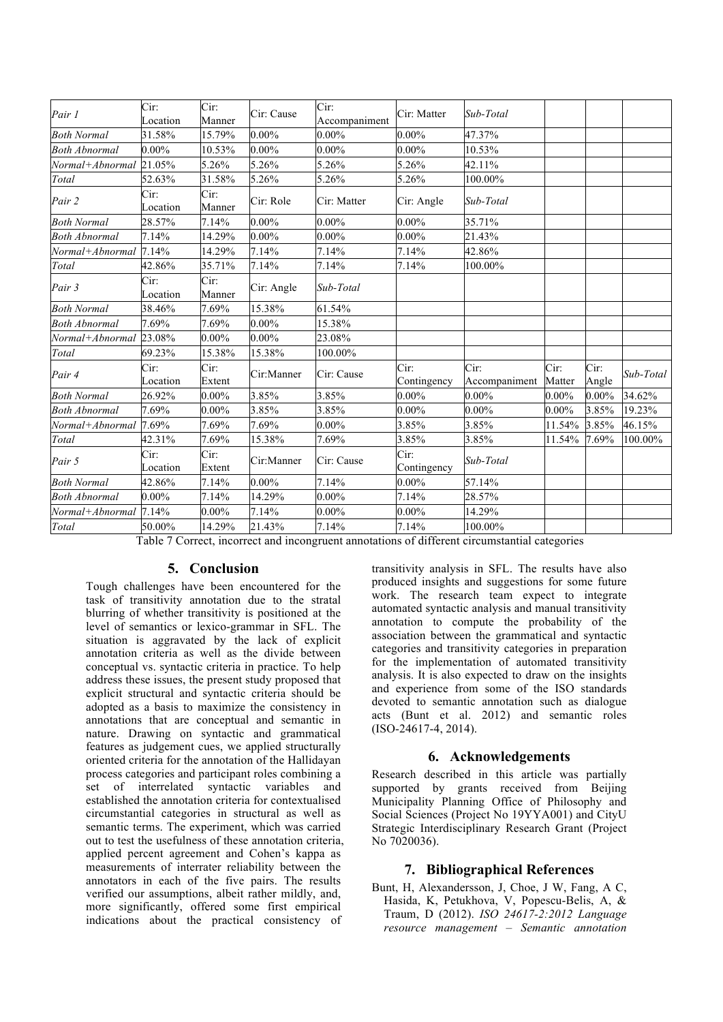| Pair 1                 | Cir:<br>Location | Cir:<br>Manner | Cir: Cause | Cir:<br>Accompaniment | Cir: Matter         | Sub-Total             |                |               |           |
|------------------------|------------------|----------------|------------|-----------------------|---------------------|-----------------------|----------------|---------------|-----------|
| <b>Both Normal</b>     | 31.58%           | 15.79%         | $0.00\%$   | $0.00\%$              | $0.00\%$            | 47.37%                |                |               |           |
| <b>Both Abnormal</b>   | $0.00\%$         | 10.53%         | $0.00\%$   | $0.00\%$              | $0.00\%$            | 10.53%                |                |               |           |
| Normal+Abnormal        | 21.05%           | 5.26%          | 5.26%      | 5.26%                 | 5.26%               | 42.11%                |                |               |           |
| Total                  | 52.63%           | 31.58%         | 5.26%      | 5.26%                 | 5.26%               | 100.00%               |                |               |           |
| Pair 2                 | Cir:<br>Location | Cir:<br>Manner | Cir: Role  | Cir: Matter           | Cir: Angle          | Sub-Total             |                |               |           |
| <b>Both Normal</b>     | 28.57%           | 7.14%          | $0.00\%$   | $0.00\%$              | $0.00\%$            | 35.71%                |                |               |           |
| <b>Both Abnormal</b>   | 7.14%            | 14.29%         | $0.00\%$   | $0.00\%$              | $0.00\%$            | 21.43%                |                |               |           |
| Normal+Abnormal 7.14%  |                  | 14.29%         | 7.14%      | 7.14%                 | 7.14%               | 42.86%                |                |               |           |
| Total                  | 42.86%           | 35.71%         | 7.14%      | 7.14%                 | 7.14%               | 100.00%               |                |               |           |
| Pair 3                 | Cir:<br>Location | Cir:<br>Manner | Cir: Angle | Sub-Total             |                     |                       |                |               |           |
| <b>Both Normal</b>     | 38.46%           | 7.69%          | 15.38%     | 61.54%                |                     |                       |                |               |           |
| <b>Both Abnormal</b>   | 7.69%            | 7.69%          | $0.00\%$   | 15.38%                |                     |                       |                |               |           |
| Normal+Abnormal 23.08% |                  | $0.00\%$       | $0.00\%$   | 23.08%                |                     |                       |                |               |           |
| Total                  | 69.23%           | 15.38%         | 15.38%     | 100.00%               |                     |                       |                |               |           |
| Pair 4                 | Cir:<br>Location | Cir:<br>Extent | Cir:Manner | Cir: Cause            | Cir:<br>Contingency | Cir:<br>Accompaniment | Cir:<br>Matter | Cir:<br>Angle | Sub-Total |
| <b>Both Normal</b>     | 26.92%           | $0.00\%$       | 3.85%      | 3.85%                 | $0.00\%$            | $0.00\%$              | $0.00\%$       | $0.00\%$      | 34.62%    |
| <b>Both Abnormal</b>   | 7.69%            | $0.00\%$       | 3.85%      | 3.85%                 | $0.00\%$            | $0.00\%$              | $0.00\%$       | 3.85%         | 19.23%    |
| Normal+Abnormal 7.69%  |                  | 7.69%          | 7.69%      | $0.00\%$              | 3.85%               | 3.85%                 | 11.54%         | 3.85%         | 46.15%    |
| Total                  | 42.31%           | 7.69%          | 15.38%     | 7.69%                 | 3.85%               | 3.85%                 | 11.54%         | 7.69%         | 100.00%   |
| Pair 5                 | Cir:<br>Location | Cir:<br>Extent | Cir:Manner | Cir: Cause            | Cir:<br>Contingency | Sub-Total             |                |               |           |
| <b>Both Normal</b>     | 42.86%           | 7.14%          | $0.00\%$   | 7.14%                 | $0.00\%$            | 57.14%                |                |               |           |
| <b>Both Abnormal</b>   | $0.00\%$         | 7.14%          | 14.29%     | $0.00\%$              | 7.14%               | 28.57%                |                |               |           |
| Normal+Abnormal        | 7.14%            | $0.00\%$       | 7.14%      | $0.00\%$              | $0.00\%$            | 14.29%                |                |               |           |
| Total                  | 50.00%           | 14.29%         | 21.43%     | 7.14%                 | 7.14%               | 100.00%               |                |               |           |

Table 7 Correct, incorrect and incongruent annotations of different circumstantial categories

## **5. Conclusion**

Tough challenges have been encountered for the task of transitivity annotation due to the stratal blurring of whether transitivity is positioned at the level of semantics or lexico-grammar in SFL. The situation is aggravated by the lack of explicit annotation criteria as well as the divide between conceptual vs. syntactic criteria in practice. To help address these issues, the present study proposed that explicit structural and syntactic criteria should be adopted as a basis to maximize the consistency in annotations that are conceptual and semantic in nature. Drawing on syntactic and grammatical features as judgement cues, we applied structurally oriented criteria for the annotation of the Hallidayan process categories and participant roles combining a set of interrelated syntactic variables and established the annotation criteria for contextualised circumstantial categories in structural as well as semantic terms. The experiment, which was carried out to test the usefulness of these annotation criteria, applied percent agreement and Cohen's kappa as measurements of interrater reliability between the annotators in each of the five pairs. The results verified our assumptions, albeit rather mildly, and, more significantly, offered some first empirical indications about the practical consistency of

transitivity analysis in SFL. The results have also produced insights and suggestions for some future work. The research team expect to integrate automated syntactic analysis and manual transitivity annotation to compute the probability of the association between the grammatical and syntactic categories and transitivity categories in preparation for the implementation of automated transitivity analysis. It is also expected to draw on the insights and experience from some of the ISO standards devoted to semantic annotation such as dialogue acts (Bunt et al. 2012) and semantic roles (ISO-24617-4, 2014).

## **6. Acknowledgements**

Research described in this article was partially supported by grants received from Beijing Municipality Planning Office of Philosophy and Social Sciences (Project No 19YYA001) and CityU Strategic Interdisciplinary Research Grant (Project No 7020036).

### **7. Bibliographical References**

Bunt, H, Alexandersson, J, Choe, J W, Fang, A C, Hasida, K, Petukhova, V, Popescu-Belis, A, & Traum, D (2012). *ISO 24617-2:2012 Language resource management – Semantic annotation*